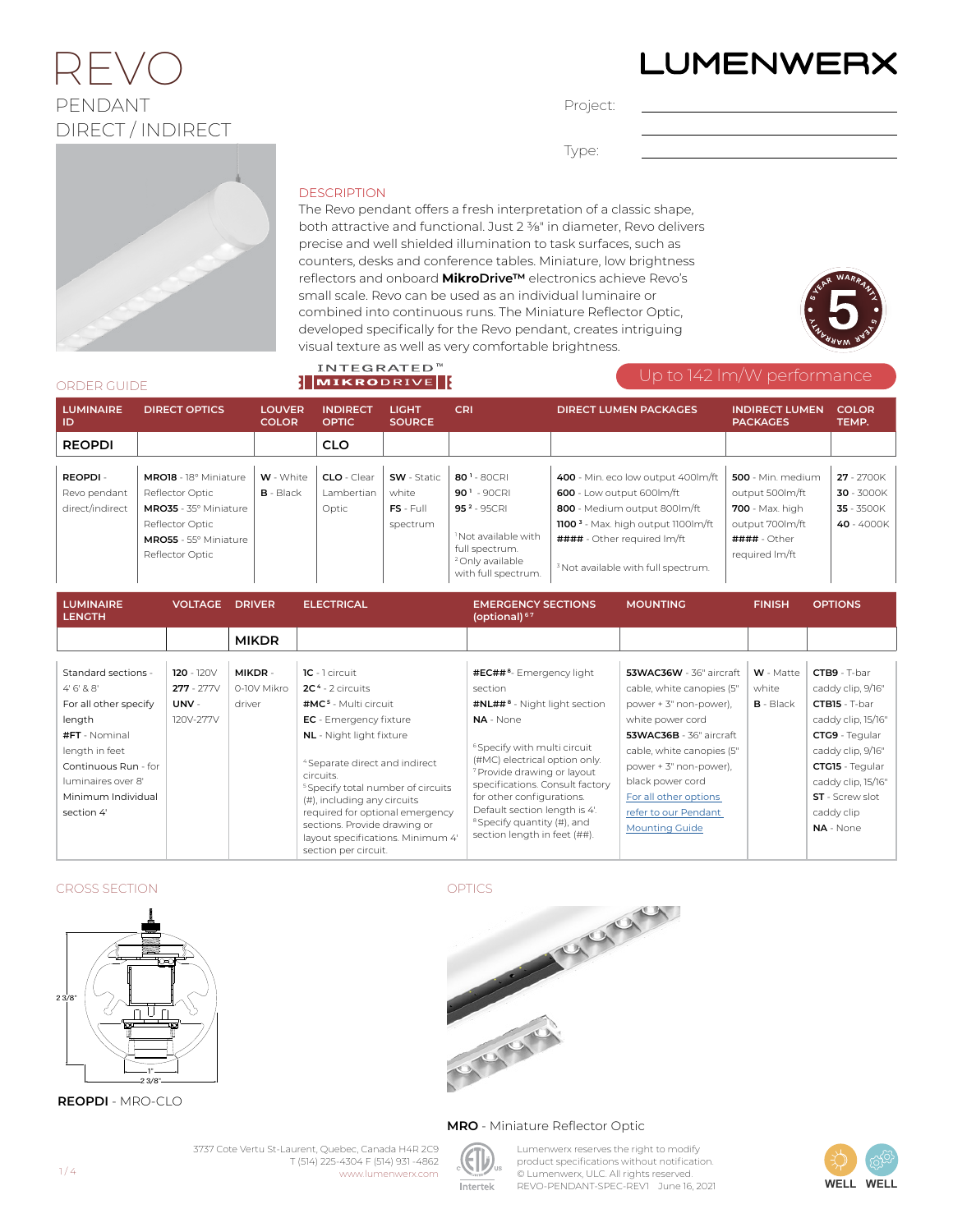# LUMENWERX

### $2 \vdash \setminus /$ PENDANT DIRECT / INDIRECT

Project:

Type:

#### **DESCRIPTION**

**INTEGRATED<sup>™</sup>** 

The Revo pendant offers a fresh interpretation of a classic shape, both attractive and functional. Just 2 3/8" in diameter, Revo delivers precise and well shielded illumination to task surfaces, such as counters, desks and conference tables. Miniature, low brightness reflectors and onboard **MikroDrive™** electronics achieve Revo's small scale. Revo can be used as an individual luminaire or combined into continuous runs. The Miniature Reflector Optic, developed specifically for the Revo pendant, creates intriguing visual texture as well as very comfortable brightness.



#### ORDER GUIDE

| ORDER GUIDE                                     |                                                                                                                                  |                                 | <b>NIKRODRIVE</b>                  |                                                        |                                                                                                                                                                                 | Up to 142 Im/vv performance<br><b>COLOR</b><br><b>DIRECT LUMEN PACKAGES</b><br><b>INDIRECT LUMEN</b><br><b>PACKAGES</b><br>TEMP.                                                                                                   |                                                                                                                                        |                                                      |  |
|-------------------------------------------------|----------------------------------------------------------------------------------------------------------------------------------|---------------------------------|------------------------------------|--------------------------------------------------------|---------------------------------------------------------------------------------------------------------------------------------------------------------------------------------|------------------------------------------------------------------------------------------------------------------------------------------------------------------------------------------------------------------------------------|----------------------------------------------------------------------------------------------------------------------------------------|------------------------------------------------------|--|
| <b>LUMINAIRE</b><br><b>DIRECT OPTICS</b><br>-ID |                                                                                                                                  | <b>LOUVER</b><br><b>COLOR</b>   | <b>INDIRECT</b><br><b>OPTIC</b>    | <b>LIGHT</b><br><b>SOURCE</b>                          | <b>CRI</b>                                                                                                                                                                      |                                                                                                                                                                                                                                    |                                                                                                                                        |                                                      |  |
| <b>REOPDI</b>                                   |                                                                                                                                  |                                 | <b>CLO</b>                         |                                                        |                                                                                                                                                                                 |                                                                                                                                                                                                                                    |                                                                                                                                        |                                                      |  |
| REOPDI-<br>Revo pendant<br>direct/indirect      | MRO18 - 18° Miniature<br>Reflector Optic<br>MRO35 - 35° Miniature<br>Reflector Optic<br>MRO55 - 55° Miniature<br>Reflector Optic | <b>W</b> - White<br>$B - Black$ | CLO - Clear<br>Lambertian<br>Optic | <b>SW</b> - Static<br>white<br>$FS - Full$<br>spectrum | 80 <sup>1</sup> - 80CRI<br>$901 - 90$ CRI<br>95 <sup>2</sup> - 95CRI<br><sup>1</sup> Not available with<br>full spectrum.<br><sup>2</sup> Only available<br>with full spectrum. | 400 - Min. eco low output 400lm/ft<br>600 - Low output 600lm/ft<br>800 - Medium output 800lm/ft<br>1100 <sup>3</sup> - Max. high output 1100lm/ft<br>#### - Other required Im/ft<br><sup>3</sup> Not available with full spectrum. | 500 - Min. medium<br>output 500lm/ft<br><b>700</b> - Max. high<br>output 700lm/ft<br>$\texttt{###}\div \text{Other}$<br>required Im/ft | 27 - 2700K<br>30 - 3000K<br>35 - 3500K<br>40 - 4000K |  |
| <b>LUMINAIRE</b><br><b>LENGTH</b>               | <b>VOLTAGE</b>                                                                                                                   | <b>DRIVER</b>                   | <b>ELECTRICAL</b>                  |                                                        | <b>EMERGENCY SECTIONS</b><br>(optional) $67$                                                                                                                                    | <b>MOUNTING</b>                                                                                                                                                                                                                    | <b>FINISH</b>                                                                                                                          | <b>OPTIONS</b>                                       |  |
|                                                 |                                                                                                                                  | <b>MIKDR</b>                    |                                    |                                                        |                                                                                                                                                                                 |                                                                                                                                                                                                                                    |                                                                                                                                        |                                                      |  |

| Standard sections -                               | $120 - 120V$ | MIKDR-                    | $IC - I circuit$                                           | #EC## <sup>8</sup> - Emergency light                                                                    | 53WAC36W - 36" aircraft   | W - Matte   | CTB9 - T-bar       |
|---------------------------------------------------|--------------|---------------------------|------------------------------------------------------------|---------------------------------------------------------------------------------------------------------|---------------------------|-------------|--------------------|
| 4'6'88'                                           | $277 - 277V$ | 0-10V Mikro               | $2C4 - 2$ circuits                                         | section                                                                                                 | cable, white canopies (5" | white       | caddy clip, 9/16"  |
| For all other specify                             | UNV -        | driver                    | $#MC5$ - Multi circuit                                     | #NL## <sup>8</sup> - Night light section                                                                | power + 3" non-power).    | $B - Black$ | CTB15 - T-bar      |
| length                                            | 120V-277V    |                           | <b>EC</b> - Emergency fixture                              | NA - None                                                                                               | white power cord          |             | caddy clip, 15/16" |
| #FT - Nominal                                     |              |                           | <b>NL</b> - Night light fixture                            |                                                                                                         | 53WAC36B - 36" aircraft   |             | CTG9 - Teqular     |
| length in feet                                    |              |                           |                                                            | <sup>6</sup> Specify with multi circuit                                                                 | cable, white canopies (5" |             | caddy clip, 9/16"  |
| Continuous Run - for                              |              |                           | <sup>4</sup> Separate direct and indirect                  | (#MC) electrical option only.<br><sup>7</sup> Provide drawing or layout                                 | power + 3" non-power).    |             | CTG15 - Teqular    |
| luminaires over 8'                                |              |                           | circuits.<br><sup>5</sup> Specify total number of circuits | specifications. Consult factory                                                                         | black power cord          |             | caddy clip, 15/16" |
| Minimum Individual<br>(#), including any circuits |              | for other configurations. | For all other options                                      |                                                                                                         | <b>ST</b> - Screw slot    |             |                    |
| section 4'                                        |              |                           | required for optional emergency                            | Default section length is 4'.<br><sup>8</sup> Specify quantity (#), and<br>section length in feet (##). | refer to our Pendant      |             | caddy clip         |
|                                                   |              |                           | sections. Provide drawing or                               |                                                                                                         | <b>Mounting Guide</b>     |             | NA - None          |
|                                                   |              |                           | layout specifications. Minimum 4'<br>section per circuit.  |                                                                                                         |                           |             |                    |

### CROSS SECTION



**REOPDI** - MRO-CLO



#### **MRO** - Miniature Reflector Optic



3737 Cote Vertu St-Laurent, Quebec, Canada H4R 2C9

T (514) 225-4304 F (514) 931 -4862 www.lumenwerx.com

Lumenwerx reserves the right to modify product specifications without notification. © Lumenwerx, ULC. All rights reserved. REVO-PENDANT-SPEC-REV1 June 16, 2021

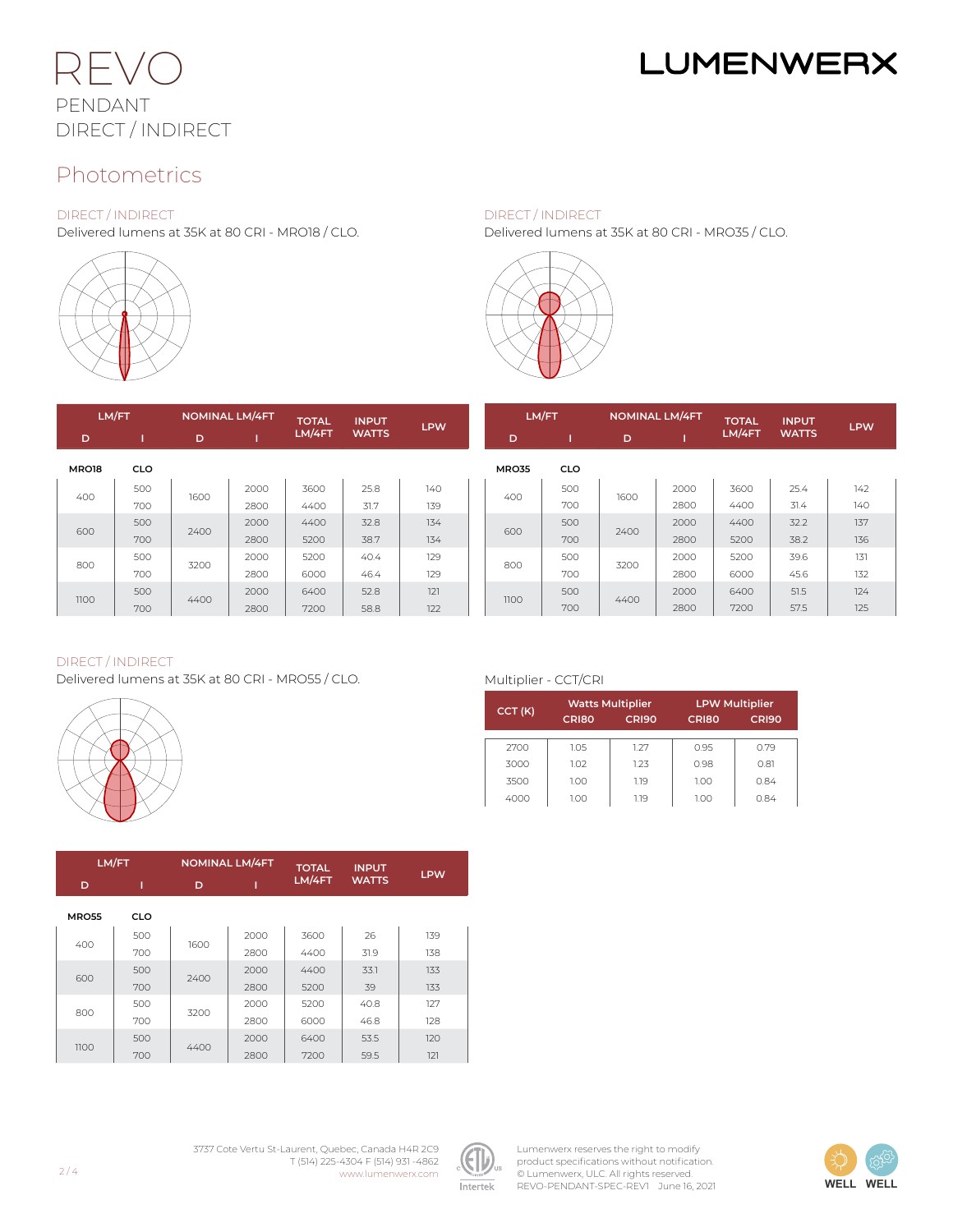

# **LUMENWERX**

### Photometrics

#### DIRECT / INDIRECT

Delivered lumens at 35K at 80 CRI - MRO18 / CLO.



DIRECT / INDIRECT

Delivered lumens at 35K at 80 CRI - MRO35 / CLO.



| LM/FT |            | <b>NOMINAL LM/4FT</b> |      | <b>TOTAL</b> | <b>INPUT</b> |            |       | LM/FT<br><b>NOMINAL LM/4FT</b> |      |      | <b>TOTAL</b> | <b>INPUT</b> |            |
|-------|------------|-----------------------|------|--------------|--------------|------------|-------|--------------------------------|------|------|--------------|--------------|------------|
| D     |            | D                     |      | LM/4FT       | <b>WATTS</b> | <b>LPW</b> | D     |                                | D    |      | LM/4FT       | <b>WATTS</b> | <b>LPW</b> |
| MRO18 | <b>CLO</b> |                       |      |              |              |            | MRO35 | <b>CLO</b>                     |      |      |              |              |            |
| 400   | 500        | 1600                  | 2000 | 3600         | 25.8         | 140        | 400   | 500                            | 1600 | 2000 | 3600         | 25.4         | 142        |
|       | 700        |                       | 2800 | 4400         | 31.7         | 139        |       | 700                            |      | 2800 | 4400         | 31.4         | 140        |
| 600   | 500        | 2400                  | 2000 | 4400         | 32.8         | 134        |       | 500                            | 2400 | 2000 | 4400         | 32.2         | 137        |
|       | 700        |                       | 2800 | 5200         | 38.7         | 134        | 600   | 700                            |      | 2800 | 5200         | 38.2         | 136        |
|       | 500        | 3200                  | 2000 | 5200         | 40.4         | 129        |       | 500                            |      | 2000 | 5200         | 39.6         | 131        |
| 800   | 700        |                       | 2800 | 6000         | 46.4         | 129        | 800   | 700                            | 3200 | 2800 | 6000         | 45.6         | 132        |
| 1100  | 500        |                       | 2000 | 6400         | 52.8         | 121        |       | 500                            | 4400 | 2000 | 6400         | 51.5         | 124        |
|       | 700        | 4400                  | 2800 | 7200         | 58.8         | 122        | 1100  | 700                            |      | 2800 | 7200         | 57.5         | 125        |

#### DIRECT / INDIRECT

Delivered lumens at 35K at 80 CRI - MRO55 / CLO.



|  |  | Multiplier - CCT/CRI |  |
|--|--|----------------------|--|
|  |  |                      |  |

|        |       | <b>Watts Multiplier</b> | <b>LPW Multiplier</b> |                   |  |  |
|--------|-------|-------------------------|-----------------------|-------------------|--|--|
| CCT(K) | CRI80 | <b>CRI90</b>            | CRI80                 | CRI <sub>90</sub> |  |  |
|        |       |                         |                       |                   |  |  |
| 2700   | 1.05  | 1.27                    | 0.95                  | 0.79              |  |  |
| 3000   | 1.02  | 1.23                    | 0.98                  | 0.81              |  |  |
| 3500   | 1.00  | 1.19                    | 1.00                  | 0.84              |  |  |
| 4000   | 1.00  | 1.19                    | 1.00                  | 0.84              |  |  |

|  |              | LM/FT      |      | <b>NOMINAL LM/4FT</b> |        | <b>INPUT</b> | <b>LPW</b> |  |
|--|--------------|------------|------|-----------------------|--------|--------------|------------|--|
|  | D            |            | D    |                       | LM/4FT | <b>WATTS</b> |            |  |
|  | <b>MRO55</b> | <b>CLO</b> |      |                       |        |              |            |  |
|  | 400          | 500        | 1600 | 2000                  | 3600   | 26           | 139        |  |
|  |              | 700        |      | 2800                  | 4400   | 31.9         | 138        |  |
|  | 600          | 500        | 2400 | 2000                  | 4400   | 33.1         | 133        |  |
|  |              | 700        |      | 2800                  | 5200   | 39           | 133        |  |
|  | 800          | 500        | 3200 | 2000                  | 5200   | 40.8         | 127        |  |
|  |              | 700        |      | 2800                  | 6000   | 46.8         | 128        |  |
|  | 1100         | 500        | 4400 | 2000                  | 6400   | 53.5         | 120        |  |
|  |              | 700        |      | 2800                  | 7200   | 59.5         | 121        |  |

3737 Cote Vertu St-Laurent, Quebec, Canada H4R 2C9 T (514) 225-4304 F (514) 931 -4862 www.lumenwerx.com



Lumenwerx reserves the right to modify product specifications without notification. © Lumenwerx, ULC. All rights reserved. REVO-PENDANT-SPEC-REV1 June 16, 2021

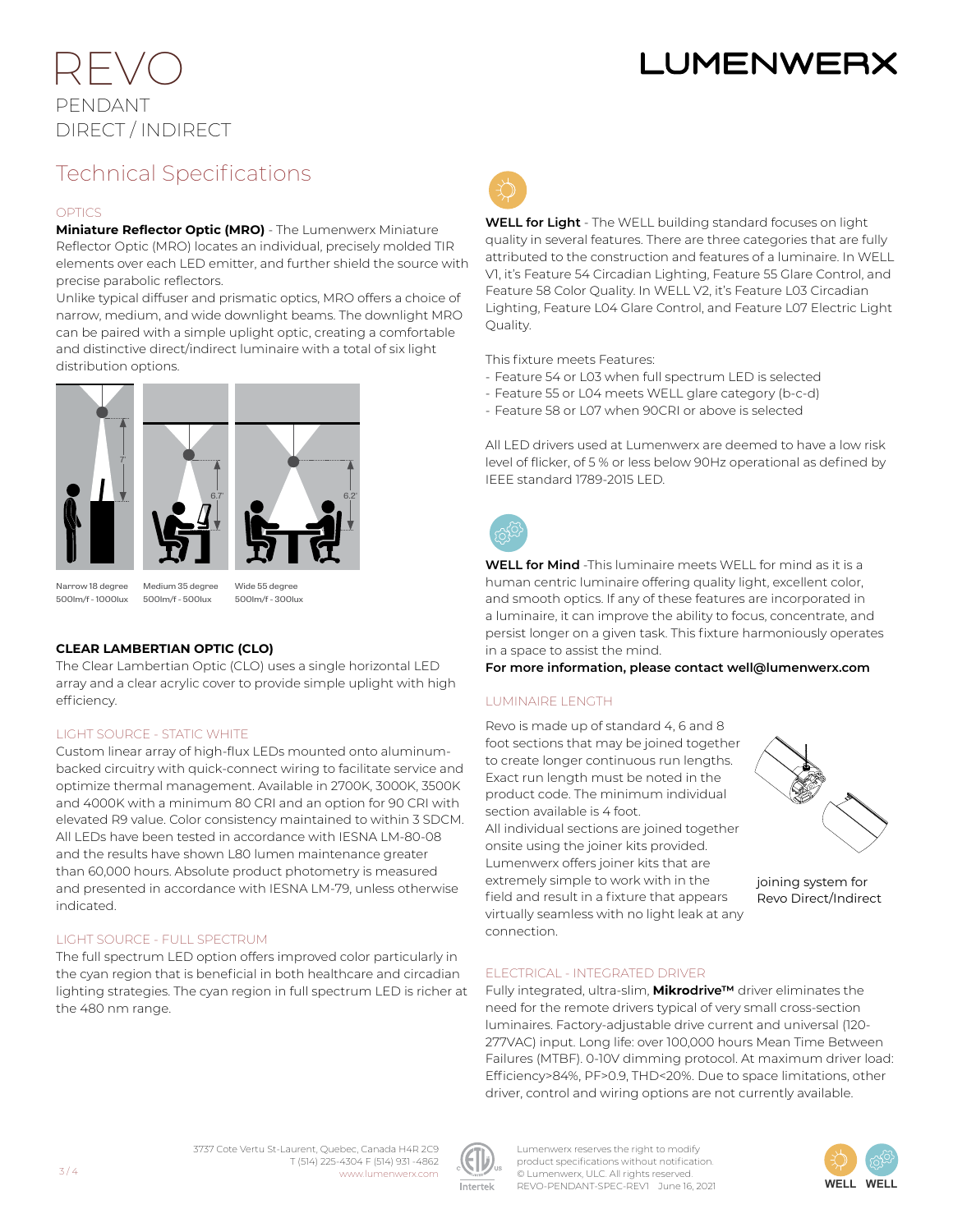# **LUMENWER**

## REVO PENDANT DIRECT / INDIRECT

### Technical Specifications

#### **OPTICS**

**Miniature Reflector Optic (MRO)** - The Lumenwerx Miniature Reflector Optic (MRO) locates an individual, precisely molded TIR elements over each LED emitter, and further shield the source with precise parabolic reflectors.

Unlike typical diffuser and prismatic optics, MRO offers a choice of narrow, medium, and wide downlight beams. The downlight MRO can be paired with a simple uplight optic, creating a comfortable and distinctive direct/indirect luminaire with a total of six light distribution options.



Narrow 18 degree 500lm/f - 1000lux

Medium 35 degree 500lm/f - 500lux Wide 55 degree 500lm/f - 300lux

#### **CLEAR LAMBERTIAN OPTIC (CLO)**

The Clear Lambertian Optic (CLO) uses a single horizontal LED array and a clear acrylic cover to provide simple uplight with high efficiency.

#### LIGHT SOURCE - STATIC WHITE

Custom linear array of high-flux LEDs mounted onto aluminumbacked circuitry with quick-connect wiring to facilitate service and optimize thermal management. Available in 2700K, 3000K, 3500K and 4000K with a minimum 80 CRI and an option for 90 CRI with elevated R9 value. Color consistency maintained to within 3 SDCM. All LEDs have been tested in accordance with IESNA LM-80-08 and the results have shown L80 lumen maintenance greater than 60,000 hours. Absolute product photometry is measured and presented in accordance with IESNA LM-79, unless otherwise indicated.

#### LIGHT SOURCE - FULL SPECTRUM

The full spectrum LED option offers improved color particularly in the cyan region that is beneficial in both healthcare and circadian lighting strategies. The cyan region in full spectrum LED is richer at the 480 nm range.



**WELL for Light** - The WELL building standard focuses on light quality in several features. There are three categories that are fully attributed to the construction and features of a luminaire. In WELL V1, it's Feature 54 Circadian Lighting, Feature 55 Glare Control, and Feature 58 Color Quality. In WELL V2, it's Feature L03 Circadian Lighting, Feature L04 Glare Control, and Feature L07 Electric Light Quality.

This fixture meets Features:

- Feature 54 or L03 when full spectrum LED is selected
- Feature 55 or L04 meets WELL glare category (b-c-d)
- Feature 58 or L07 when 90CRI or above is selected

All LED drivers used at Lumenwerx are deemed to have a low risk level of flicker, of 5 % or less below 90Hz operational as defined by IEEE standard 1789-2015 LED.



**WELL for Mind** -This luminaire meets WELL for mind as it is a human centric luminaire offering quality light, excellent color, and smooth optics. If any of these features are incorporated in a luminaire, it can improve the ability to focus, concentrate, and persist longer on a given task. This fixture harmoniously operates in a space to assist the mind.

**For more information, please contact well@lumenwerx.com**

#### LUMINAIRE LENGTH

Revo is made up of standard 4, 6 and 8 foot sections that may be joined together to create longer continuous run lengths. Exact run length must be noted in the product code. The minimum individual section available is 4 foot.

All individual sections are joined together onsite using the joiner kits provided. Lumenwerx offers joiner kits that are extremely simple to work with in the field and result in a fixture that appears virtually seamless with no light leak at any connection.



Fully integrated, ultra-slim, **Mikrodrive™** driver eliminates the need for the remote drivers typical of very small cross-section luminaires. Factory-adjustable drive current and universal (120- 277VAC) input. Long life: over 100,000 hours Mean Time Between Failures (MTBF). 0-10V dimming protocol. At maximum driver load: Efficiency>84%, PF>0.9, THD<20%. Due to space limitations, other driver, control and wiring options are not currently available.





Lumenwerx reserves the right to modify product specifications without notification. © Lumenwerx, ULC. All rights reserved. REVO-PENDANT-SPEC-REV1 June 16, 2021



joining system for Revo Direct/Indirect